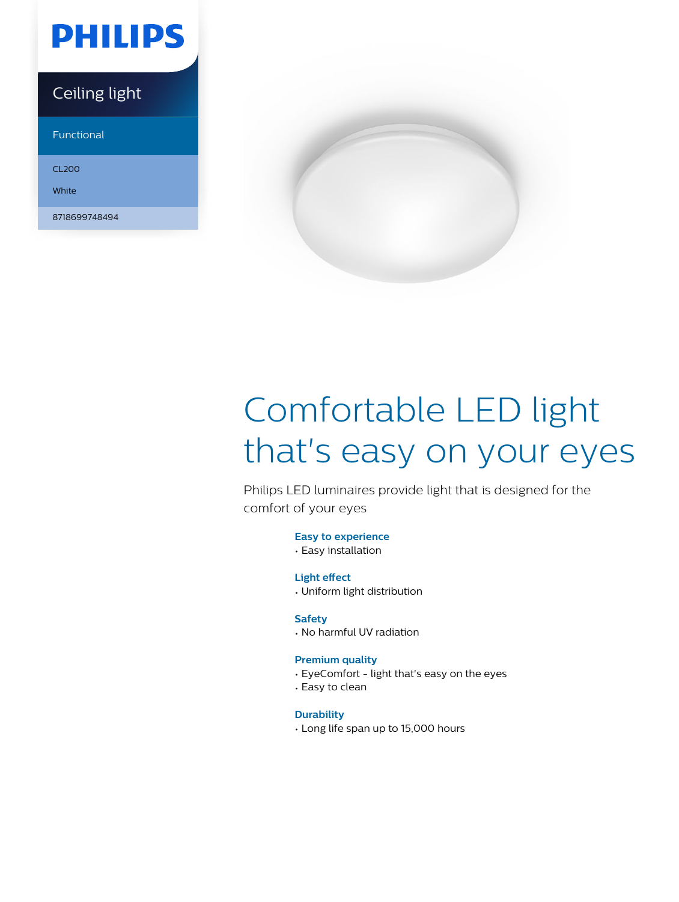

### Ceiling light

Functional

CL200

**White** 

8718699748494



# Comfortable LED light that's easy on your eyes

Philips LED luminaires provide light that is designed for the comfort of your eyes

#### **Easy to experience**

• Easy installation

#### **Light effect**

• Uniform light distribution

#### **Safety**

• No harmful UV radiation

#### **Premium quality**

- EyeComfort light that's easy on the eyes
- Easy to clean

#### **Durability**

• Long life span up to 15,000 hours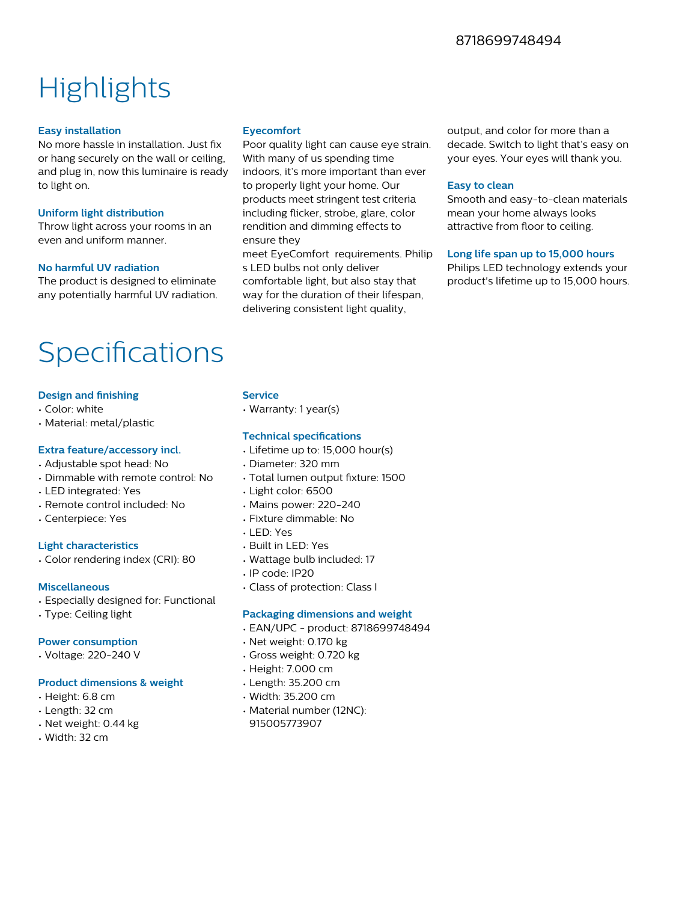## **Highlights**

#### **Easy installation**

No more hassle in installation. Just fix or hang securely on the wall or ceiling, and plug in, now this luminaire is ready to light on.

#### **Uniform light distribution**

Throw light across your rooms in an even and uniform manner.

#### **No harmful UV radiation**

The product is designed to eliminate any potentially harmful UV radiation.

### Specifications

#### **Design and finishing**

- Color: white
- Material: metal/plastic

#### **Extra feature/accessory incl.**

- Adjustable spot head: No
- Dimmable with remote control: No
- LED integrated: Yes
- Remote control included: No
- Centerpiece: Yes

#### **Light characteristics**

• Color rendering index (CRI): 80

#### **Miscellaneous**

- Especially designed for: Functional
- Type: Ceiling light

#### **Power consumption**

• Voltage: 220-240 V

#### **Product dimensions & weight**

- Height: 6.8 cm
- Length: 32 cm
- Net weight: 0.44 kg
- Width: 32 cm

#### **Eyecomfort**

Poor quality light can cause eye strain. With many of us spending time indoors, it's more important than ever to properly light your home. Our products meet stringent test criteria including flicker, strobe, glare, color rendition and dimming effects to ensure they

meet EyeComfort requirements. Philip s LED bulbs not only deliver comfortable light, but also stay that way for the duration of their lifespan, delivering consistent light quality,

output, and color for more than a decade. Switch to light that's easy on your eyes. Your eyes will thank you.

#### **Easy to clean**

Smooth and easy-to-clean materials mean your home always looks attractive from floor to ceiling.

#### **Long life span up to 15,000 hours**

Philips LED technology extends your product's lifetime up to 15,000 hours.

#### **Service**

• Warranty: 1 year(s)

#### **Technical specifications**

- Lifetime up to: 15,000 hour(s)
- Diameter: 320 mm
- Total lumen output fixture: 1500
- Light color: 6500
- Mains power: 220-240
- Fixture dimmable: No
- LED: Yes
- Built in LED: Yes
- Wattage bulb included: 17
- IP code: IP20
- Class of protection: Class I

#### **Packaging dimensions and weight**

- EAN/UPC product: 8718699748494
- Net weight: 0.170 kg
- Gross weight: 0.720 kg
- Height: 7.000 cm
- Length: 35.200 cm
- Width: 35.200 cm
- Material number (12NC): 915005773907